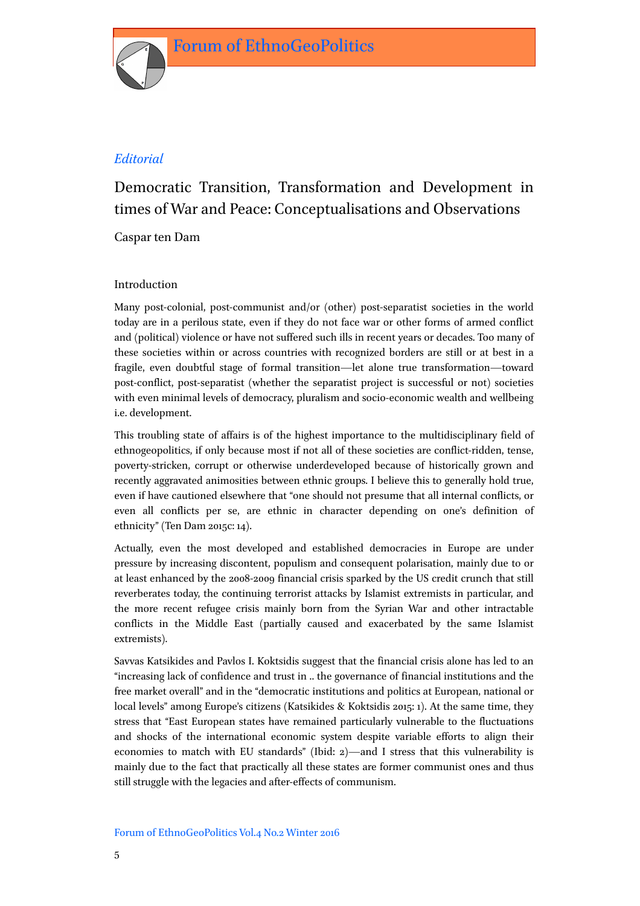

# Democratic Transition, Transformation and Development in times of War and Peace: Conceptualisations and Observations

Caspar ten Dam

## Introduction

Many post-colonial, post-communist and/or (other) post-separatist societies in the world today are in a perilous state, even if they do not face war or other forms of armed conflict and (political) violence or have not suffered such ills in recent years or decades. Too many of these societies within or across countries with recognized borders are still or at best in a fragile, even doubtful stage of formal transition—let alone true transformation—toward post-conflict, post-separatist (whether the separatist project is successful or not) societies with even minimal levels of democracy, pluralism and socio-economic wealth and wellbeing i.e. development.

This troubling state of affairs is of the highest importance to the multidisciplinary field of ethnogeopolitics, if only because most if not all of these societies are conflict-ridden, tense, poverty-stricken, corrupt or otherwise underdeveloped because of historically grown and recently aggravated animosities between ethnic groups. I believe this to generally hold true, even if have cautioned elsewhere that "one should not presume that all internal conflicts, or even all conflicts per se, are ethnic in character depending on one's definition of ethnicity" (Ten Dam 2015c: 14).

Actually, even the most developed and established democracies in Europe are under pressure by increasing discontent, populism and consequent polarisation, mainly due to or at least enhanced by the 2008-2009 financial crisis sparked by the US credit crunch that still reverberates today, the continuing terrorist attacks by Islamist extremists in particular, and the more recent refugee crisis mainly born from the Syrian War and other intractable conflicts in the Middle East (partially caused and exacerbated by the same Islamist extremists).

Savvas Katsikides and Pavlos I. Koktsidis suggest that the financial crisis alone has led to an "increasing lack of confidence and trust in .. the governance of financial institutions and the free market overall" and in the "democratic institutions and politics at European, national or local levels" among Europe's citizens (Katsikides & Koktsidis 2015: 1). At the same time, they stress that "East European states have remained particularly vulnerable to the fluctuations and shocks of the international economic system despite variable efforts to align their economies to match with EU standards" (Ibid: 2)—and I stress that this vulnerability is mainly due to the fact that practically all these states are former communist ones and thus still struggle with the legacies and after-effects of communism.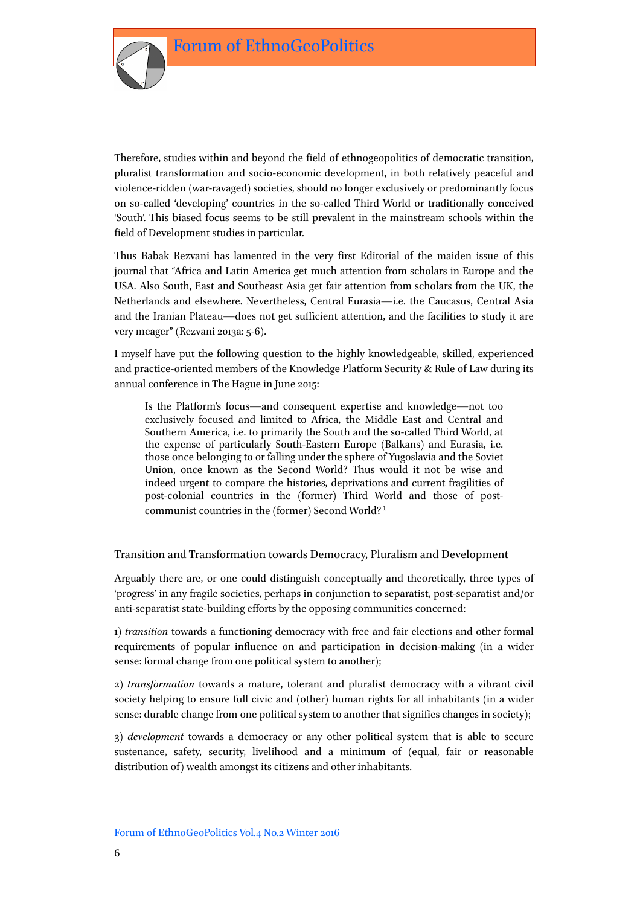

Therefore, studies within and beyond the field of ethnogeopolitics of democratic transition, pluralist transformation and socio-economic development, in both relatively peaceful and violence-ridden (war-ravaged) societies, should no longer exclusively or predominantly focus on so-called 'developing' countries in the so-called Third World or traditionally conceived 'South'. This biased focus seems to be still prevalent in the mainstream schools within the field of Development studies in particular.

Thus Babak Rezvani has lamented in the very first Editorial of the maiden issue of this journal that "Africa and Latin America get much attention from scholars in Europe and the USA. Also South, East and Southeast Asia get fair attention from scholars from the UK, the Netherlands and elsewhere. Nevertheless, Central Eurasia—i.e. the Caucasus, Central Asia and the Iranian Plateau—does not get sufficient attention, and the facilities to study it are very meager" (Rezvani 2013a: 5-6).

I myself have put the following question to the highly knowledgeable, skilled, experienced and practice-oriented members of the Knowledge Platform Security & Rule of Law during its annual conference in The Hague in June 2015:

Is the Platform's focus—and consequent expertise and knowledge—not too exclusively focused and limited to Africa, the Middle East and Central and Southern America, i.e. to primarily the South and the so-called Third World, at the expense of particularly South-Eastern Europe (Balkans) and Eurasia, i.e. those once belonging to or falling under the sphere of Yugoslavia and the Soviet Union, once known as the Second World? Thus would it not be wise and indeed urgent to compare the histories, deprivations and current fragilities of post-colonial countries in the (former) Third World and those of postcommunist countries in the (former) Second World? 1

Transition and Transformation towards Democracy, Pluralism and Development

Arguably there are, or one could distinguish conceptually and theoretically, three types of 'progress' in any fragile societies, perhaps in conjunction to separatist, post-separatist and/or anti-separatist state-building efforts by the opposing communities concerned:

1) *transition* towards a functioning democracy with free and fair elections and other formal requirements of popular influence on and participation in decision-making (in a wider sense: formal change from one political system to another);

2) *transformation* towards a mature, tolerant and pluralist democracy with a vibrant civil society helping to ensure full civic and (other) human rights for all inhabitants (in a wider sense: durable change from one political system to another that signifies changes in society);

3) *development* towards a democracy or any other political system that is able to secure sustenance, safety, security, livelihood and a minimum of (equal, fair or reasonable distribution of) wealth amongst its citizens and other inhabitants.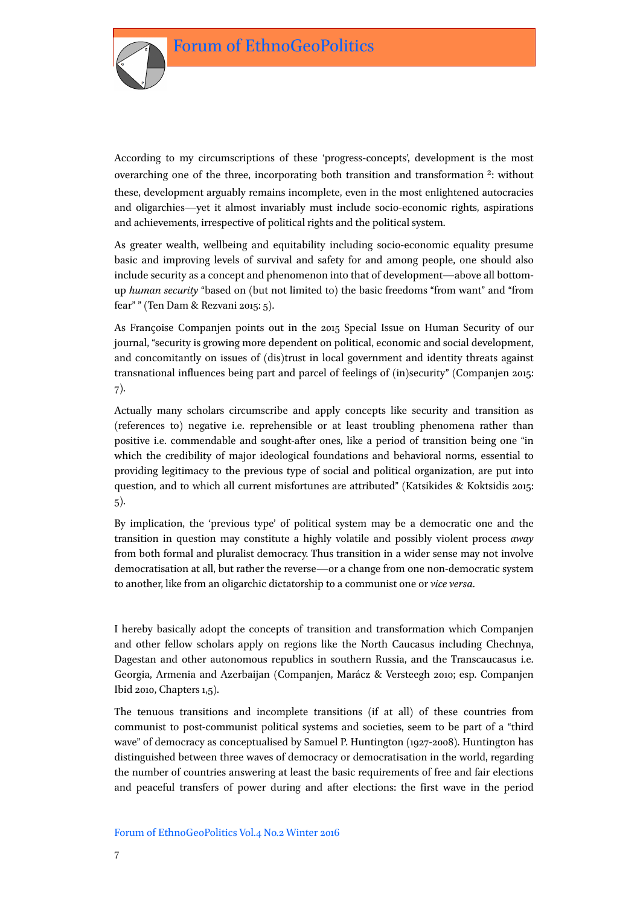

According to my circumscriptions of these 'progress-concepts', development is the most overarching one of the three, incorporating both transition and transformation 2: without these, development arguably remains incomplete, even in the most enlightened autocracies and oligarchies—yet it almost invariably must include socio-economic rights, aspirations and achievements, irrespective of political rights and the political system.

As greater wealth, wellbeing and equitability including socio-economic equality presume basic and improving levels of survival and safety for and among people, one should also include security as a concept and phenomenon into that of development—above all bottomup *human security* "based on (but not limited to) the basic freedoms "from want" and "from fear" " (Ten Dam & Rezvani 2015: 5).

As Françoise Companjen points out in the 2015 Special Issue on Human Security of our journal, "security is growing more dependent on political, economic and social development, and concomitantly on issues of (dis)trust in local government and identity threats against transnational influences being part and parcel of feelings of (in)security" (Companjen 2015: 7).

Actually many scholars circumscribe and apply concepts like security and transition as (references to) negative i.e. reprehensible or at least troubling phenomena rather than positive i.e. commendable and sought-after ones, like a period of transition being one "in which the credibility of major ideological foundations and behavioral norms, essential to providing legitimacy to the previous type of social and political organization, are put into question, and to which all current misfortunes are attributed" (Katsikides & Koktsidis 2015: 5).

By implication, the 'previous type' of political system may be a democratic one and the transition in question may constitute a highly volatile and possibly violent process *away* from both formal and pluralist democracy. Thus transition in a wider sense may not involve democratisation at all, but rather the reverse—or a change from one non-democratic system to another, like from an oligarchic dictatorship to a communist one or *vice versa*.

I hereby basically adopt the concepts of transition and transformation which Companjen and other fellow scholars apply on regions like the North Caucasus including Chechnya, Dagestan and other autonomous republics in southern Russia, and the Transcaucasus i.e. Georgia, Armenia and Azerbaijan (Companjen, Marácz & Versteegh 2010; esp. Companjen Ibid 2010, Chapters 1,5).

The tenuous transitions and incomplete transitions (if at all) of these countries from communist to post-communist political systems and societies, seem to be part of a "third wave" of democracy as conceptualised by Samuel P. Huntington (1927-2008). Huntington has distinguished between three waves of democracy or democratisation in the world, regarding the number of countries answering at least the basic requirements of free and fair elections and peaceful transfers of power during and after elections: the first wave in the period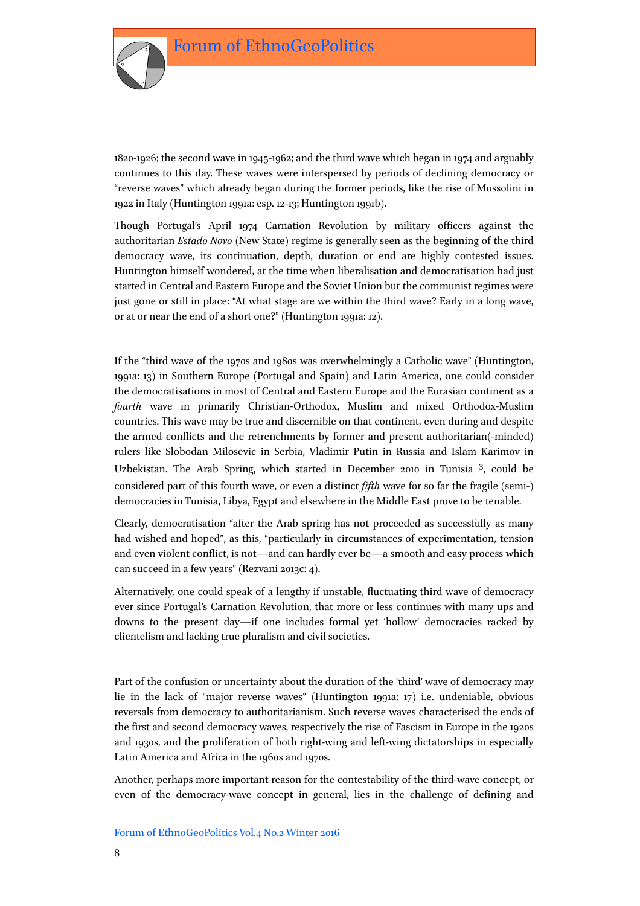

1820-1926; the second wave in 1945-1962; and the third wave which began in 1974 and arguably continues to this day. These waves were interspersed by periods of declining democracy or "reverse waves" which already began during the former periods, like the rise of Mussolini in 1922 in Italy (Huntington 1991a: esp. 12-13; Huntington 1991b).

Though Portugal's April 1974 Carnation Revolution by military officers against the authoritarian *Estado Novo* (New State) regime is generally seen as the beginning of the third democracy wave, its continuation, depth, duration or end are highly contested issues. Huntington himself wondered, at the time when liberalisation and democratisation had just started in Central and Eastern Europe and the Soviet Union but the communist regimes were just gone or still in place: "At what stage are we within the third wave? Early in a long wave, or at or near the end of a short one?" (Huntington 1991a: 12).

If the "third wave of the 1970s and 1980s was overwhelmingly a Catholic wave" (Huntington, 1991a: 13) in Southern Europe (Portugal and Spain) and Latin America, one could consider the democratisations in most of Central and Eastern Europe and the Eurasian continent as a *fourth* wave in primarily Christian-Orthodox, Muslim and mixed Orthodox-Muslim countries. This wave may be true and discernible on that continent, even during and despite the armed conflicts and the retrenchments by former and present authoritarian(-minded) rulers like Slobodan Milosevic in Serbia, Vladimir Putin in Russia and Islam Karimov in Uzbekistan. The Arab Spring, which started in December 2010 in Tunisia 3, could be considered part of this fourth wave, or even a distinct *fifth* wave for so far the fragile (semi-) democracies in Tunisia, Libya, Egypt and elsewhere in the Middle East prove to be tenable.

Clearly, democratisation "after the Arab spring has not proceeded as successfully as many had wished and hoped", as this, "particularly in circumstances of experimentation, tension and even violent conflict, is not—and can hardly ever be—a smooth and easy process which can succeed in a few years" (Rezvani 2013c: 4).

Alternatively, one could speak of a lengthy if unstable, fluctuating third wave of democracy ever since Portugal's Carnation Revolution, that more or less continues with many ups and downs to the present day—if one includes formal yet 'hollow' democracies racked by clientelism and lacking true pluralism and civil societies.

Part of the confusion or uncertainty about the duration of the 'third' wave of democracy may lie in the lack of "major reverse waves" (Huntington 1991a: 17) i.e. undeniable, obvious reversals from democracy to authoritarianism. Such reverse waves characterised the ends of the first and second democracy waves, respectively the rise of Fascism in Europe in the 1920s and 1930s, and the proliferation of both right-wing and left-wing dictatorships in especially Latin America and Africa in the 1960s and 1970s.

Another, perhaps more important reason for the contestability of the third-wave concept, or even of the democracy-wave concept in general, lies in the challenge of defining and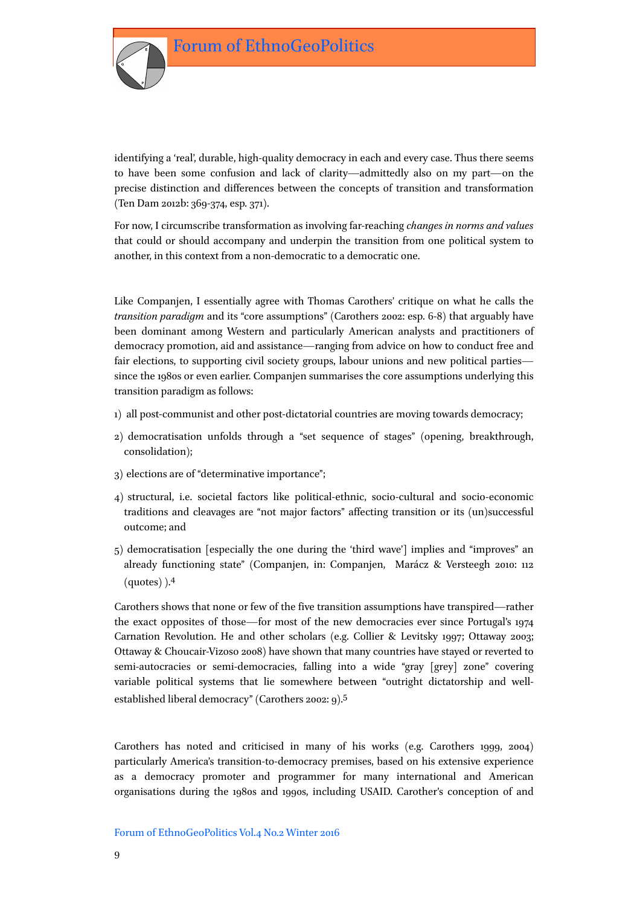

identifying a 'real', durable, high-quality democracy in each and every case. Thus there seems to have been some confusion and lack of clarity—admittedly also on my part—on the precise distinction and differences between the concepts of transition and transformation (Ten Dam 2012b: 369-374, esp. 371).

For now, I circumscribe transformation as involving far-reaching *changes in norms and values* that could or should accompany and underpin the transition from one political system to another, in this context from a non-democratic to a democratic one.

Like Companjen, I essentially agree with Thomas Carothers' critique on what he calls the *transition paradigm* and its "core assumptions" (Carothers 2002: esp. 6-8) that arguably have been dominant among Western and particularly American analysts and practitioners of democracy promotion, aid and assistance—ranging from advice on how to conduct free and fair elections, to supporting civil society groups, labour unions and new political parties since the 1980s or even earlier. Companjen summarises the core assumptions underlying this transition paradigm as follows:

- 1) all post-communist and other post-dictatorial countries are moving towards democracy;
- 2) democratisation unfolds through a "set sequence of stages" (opening, breakthrough, consolidation);
- 3) elections are of "determinative importance";
- 4) structural, i.e. societal factors like political-ethnic, socio-cultural and socio-economic traditions and cleavages are "not major factors" affecting transition or its (un)successful outcome; and
- 5) democratisation [especially the one during the 'third wave'] implies and "improves" an already functioning state" (Companjen, in: Companjen, Marácz & Versteegh 2010: 112 (quotes) ).4

Carothers shows that none or few of the five transition assumptions have transpired—rather the exact opposites of those—for most of the new democracies ever since Portugal's 1974 Carnation Revolution. He and other scholars (e.g. Collier & Levitsky 1997; Ottaway 2003; Ottaway & Choucair-Vizoso 2008) have shown that many countries have stayed or reverted to semi-autocracies or semi-democracies, falling into a wide "gray [grey] zone" covering variable political systems that lie somewhere between "outright dictatorship and wellestablished liberal democracy" (Carothers 2002: 9).5

Carothers has noted and criticised in many of his works (e.g. Carothers 1999, 2004) particularly America's transition-to-democracy premises, based on his extensive experience as a democracy promoter and programmer for many international and American organisations during the 1980s and 1990s, including USAID. Carother's conception of and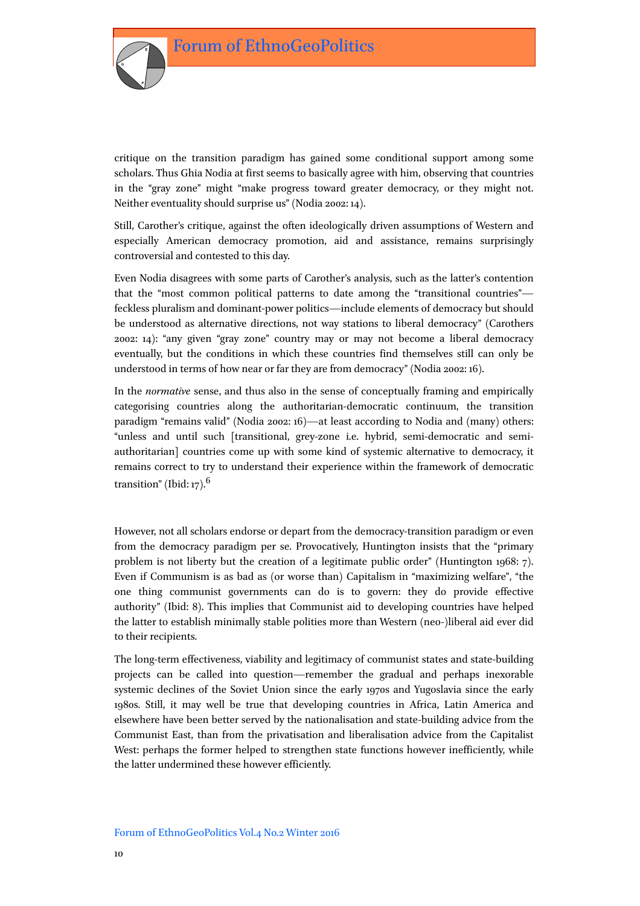

critique on the transition paradigm has gained some conditional support among some scholars. Thus Ghia Nodia at first seems to basically agree with him, observing that countries in the "gray zone" might "make progress toward greater democracy, or they might not. Neither eventuality should surprise us" (Nodia 2002: 14).

Still, Carother's critique, against the often ideologically driven assumptions of Western and especially American democracy promotion, aid and assistance, remains surprisingly controversial and contested to this day.

Even Nodia disagrees with some parts of Carother's analysis, such as the latter's contention that the "most common political patterns to date among the "transitional countries" feckless pluralism and dominant-power politics—include elements of democracy but should be understood as alternative directions, not way stations to liberal democracy" (Carothers 2002: 14): "any given "gray zone" country may or may not become a liberal democracy eventually, but the conditions in which these countries find themselves still can only be understood in terms of how near or far they are from democracy" (Nodia 2002: 16).

In the *normative* sense, and thus also in the sense of conceptually framing and empirically categorising countries along the authoritarian-democratic continuum, the transition paradigm "remains valid" (Nodia 2002: 16)—at least according to Nodia and (many) others: "unless and until such [transitional, grey-zone i.e. hybrid, semi-democratic and semiauthoritarian] countries come up with some kind of systemic alternative to democracy, it remains correct to try to understand their experience within the framework of democratic transition" (Ibid: 17). $6$ 

However, not all scholars endorse or depart from the democracy-transition paradigm or even from the democracy paradigm per se. Provocatively, Huntington insists that the "primary problem is not liberty but the creation of a legitimate public order" (Huntington 1968: 7). Even if Communism is as bad as (or worse than) Capitalism in "maximizing welfare", "the one thing communist governments can do is to govern: they do provide effective authority" (Ibid: 8). This implies that Communist aid to developing countries have helped the latter to establish minimally stable polities more than Western (neo-)liberal aid ever did to their recipients.

The long-term effectiveness, viability and legitimacy of communist states and state-building projects can be called into question—remember the gradual and perhaps inexorable systemic declines of the Soviet Union since the early 1970s and Yugoslavia since the early 1980s. Still, it may well be true that developing countries in Africa, Latin America and elsewhere have been better served by the nationalisation and state-building advice from the Communist East, than from the privatisation and liberalisation advice from the Capitalist West: perhaps the former helped to strengthen state functions however inefficiently, while the latter undermined these however efficiently.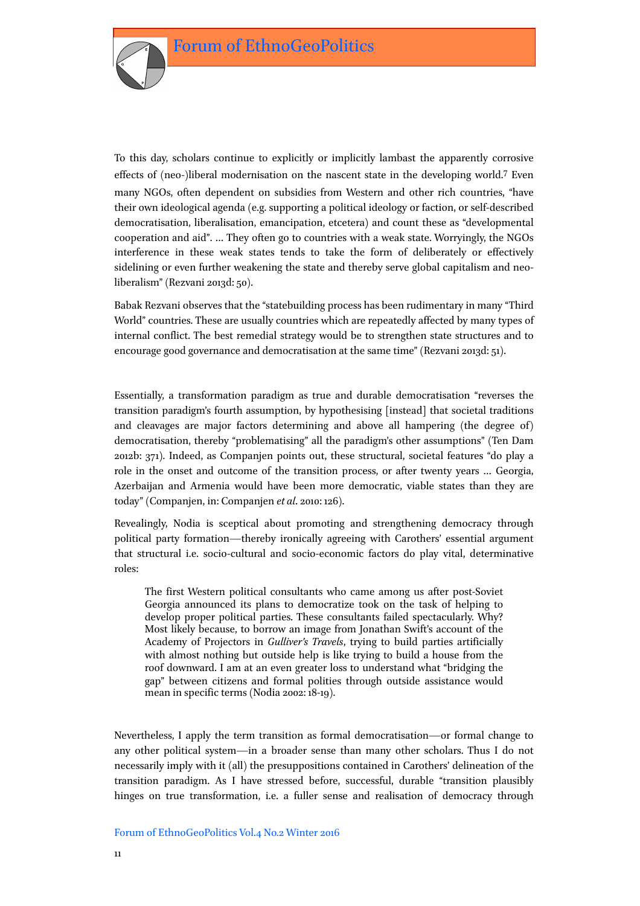

To this day, scholars continue to explicitly or implicitly lambast the apparently corrosive effects of (neo-)liberal modernisation on the nascent state in the developing world.7 Even many NGOs, often dependent on subsidies from Western and other rich countries, "have their own ideological agenda (e.g. supporting a political ideology or faction, or self-described democratisation, liberalisation, emancipation, etcetera) and count these as "developmental cooperation and aid". … They often go to countries with a weak state. Worryingly, the NGOs interference in these weak states tends to take the form of deliberately or effectively sidelining or even further weakening the state and thereby serve global capitalism and neoliberalism" (Rezvani 2013d: 50).

Babak Rezvani observes that the "statebuilding process has been rudimentary in many "Third World" countries. These are usually countries which are repeatedly affected by many types of internal conflict. The best remedial strategy would be to strengthen state structures and to encourage good governance and democratisation at the same time" (Rezvani 2013d: 51).

Essentially, a transformation paradigm as true and durable democratisation "reverses the transition paradigm's fourth assumption, by hypothesising [instead] that societal traditions and cleavages are major factors determining and above all hampering (the degree of) democratisation, thereby "problematising" all the paradigm's other assumptions" (Ten Dam 2012b: 371). Indeed, as Companjen points out, these structural, societal features "do play a role in the onset and outcome of the transition process, or after twenty years … Georgia, Azerbaijan and Armenia would have been more democratic, viable states than they are today" (Companjen, in: Companjen *et al*. 2010: 126).

Revealingly, Nodia is sceptical about promoting and strengthening democracy through political party formation—thereby ironically agreeing with Carothers' essential argument that structural i.e. socio-cultural and socio-economic factors do play vital, determinative roles:

The first Western political consultants who came among us after post-Soviet Georgia announced its plans to democratize took on the task of helping to develop proper political parties. These consultants failed spectacularly. Why? Most likely because, to borrow an image from Jonathan Swift's account of the Academy of Projectors in *Gulliver's Travels*, trying to build parties artificially with almost nothing but outside help is like trying to build a house from the roof downward. I am at an even greater loss to understand what "bridging the gap" between citizens and formal polities through outside assistance would mean in specific terms (Nodia 2002: 18-19).

Nevertheless, I apply the term transition as formal democratisation—or formal change to any other political system—in a broader sense than many other scholars. Thus I do not necessarily imply with it (all) the presuppositions contained in Carothers' delineation of the transition paradigm. As I have stressed before, successful, durable "transition plausibly hinges on true transformation, i.e. a fuller sense and realisation of democracy through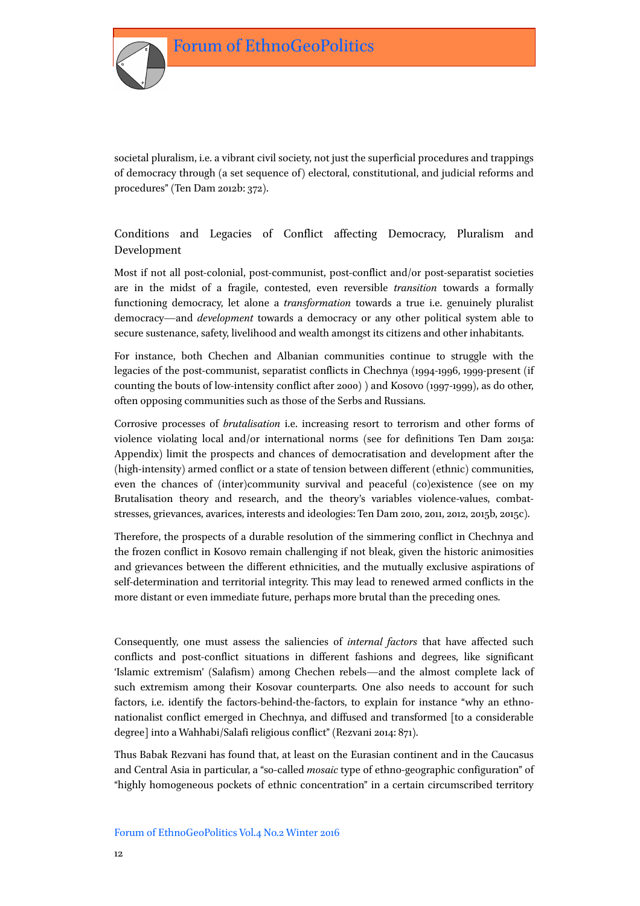

## Conditions and Legacies of Conflict affecting Democracy, Pluralism and Development

Most if not all post-colonial, post-communist, post-conflict and/or post-separatist societies are in the midst of a fragile, contested, even reversible *transition* towards a formally functioning democracy, let alone a *transformation* towards a true i.e. genuinely pluralist democracy—and *development* towards a democracy or any other political system able to secure sustenance, safety, livelihood and wealth amongst its citizens and other inhabitants.

For instance, both Chechen and Albanian communities continue to struggle with the legacies of the post-communist, separatist conflicts in Chechnya (1994-1996, 1999-present (if counting the bouts of low-intensity conflict after 2000) ) and Kosovo (1997-1999), as do other, often opposing communities such as those of the Serbs and Russians.

Corrosive processes of *brutalisation* i.e. increasing resort to terrorism and other forms of violence violating local and/or international norms (see for definitions Ten Dam 2015a: Appendix) limit the prospects and chances of democratisation and development after the (high-intensity) armed conflict or a state of tension between different (ethnic) communities, even the chances of (inter)community survival and peaceful (co)existence (see on my Brutalisation theory and research, and the theory's variables violence-values, combatstresses, grievances, avarices, interests and ideologies: Ten Dam 2010, 2011, 2012, 2015b, 2015c).

Therefore, the prospects of a durable resolution of the simmering conflict in Chechnya and the frozen conflict in Kosovo remain challenging if not bleak, given the historic animosities and grievances between the different ethnicities, and the mutually exclusive aspirations of self-determination and territorial integrity. This may lead to renewed armed conflicts in the more distant or even immediate future, perhaps more brutal than the preceding ones.

Consequently, one must assess the saliencies of *internal factors* that have affected such conflicts and post-conflict situations in different fashions and degrees, like significant 'Islamic extremism' (Salafism) among Chechen rebels—and the almost complete lack of such extremism among their Kosovar counterparts. One also needs to account for such factors, i.e. identify the factors-behind-the-factors, to explain for instance "why an ethnonationalist conflict emerged in Chechnya, and diffused and transformed [to a considerable degree] into a Wahhabi/Salafi religious conflict" (Rezvani 2014: 871).

Thus Babak Rezvani has found that, at least on the Eurasian continent and in the Caucasus and Central Asia in particular, a "so-called *mosaic* type of ethno-geographic configuration" of "highly homogeneous pockets of ethnic concentration" in a certain circumscribed territory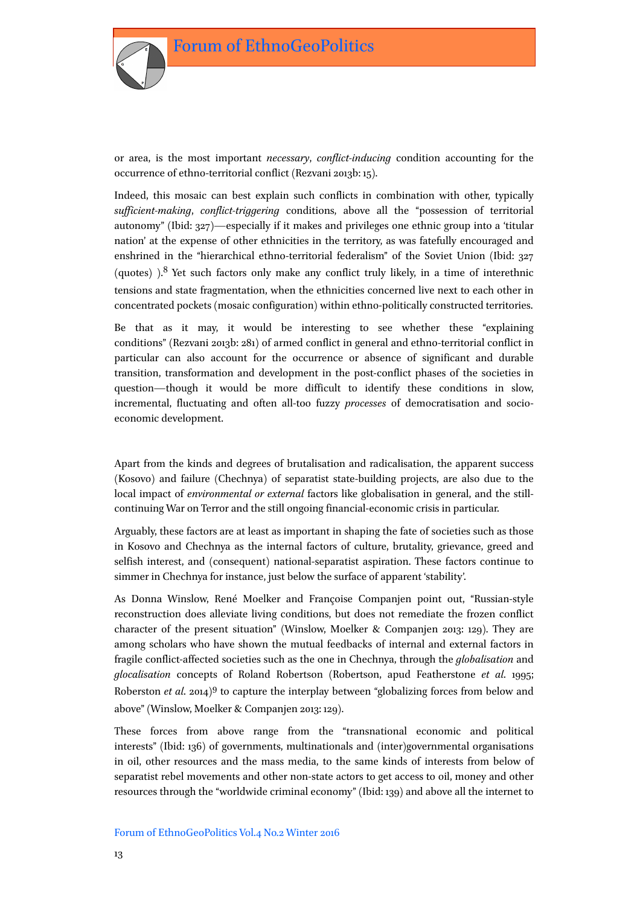

or area, is the most important *necessary*, *conflict-inducing* condition accounting for the occurrence of ethno-territorial conflict (Rezvani 2013b: 15).

Indeed, this mosaic can best explain such conflicts in combination with other, typically *sufficient-making*, *conflict-triggering* conditions, above all the "possession of territorial autonomy" (Ibid: 327)—especially if it makes and privileges one ethnic group into a 'titular nation' at the expense of other ethnicities in the territory, as was fatefully encouraged and enshrined in the "hierarchical ethno-territorial federalism" of the Soviet Union (Ibid: 327 (quotes) ).8 Yet such factors only make any conflict truly likely, in a time of interethnic tensions and state fragmentation, when the ethnicities concerned live next to each other in concentrated pockets (mosaic configuration) within ethno-politically constructed territories.

Be that as it may, it would be interesting to see whether these "explaining conditions" (Rezvani 2013b: 281) of armed conflict in general and ethno-territorial conflict in particular can also account for the occurrence or absence of significant and durable transition, transformation and development in the post-conflict phases of the societies in question—though it would be more difficult to identify these conditions in slow, incremental, fluctuating and often all-too fuzzy *processes* of democratisation and socioeconomic development.

Apart from the kinds and degrees of brutalisation and radicalisation, the apparent success (Kosovo) and failure (Chechnya) of separatist state-building projects, are also due to the local impact of *environmental or external* factors like globalisation in general, and the stillcontinuing War on Terror and the still ongoing financial-economic crisis in particular.

Arguably, these factors are at least as important in shaping the fate of societies such as those in Kosovo and Chechnya as the internal factors of culture, brutality, grievance, greed and selfish interest, and (consequent) national-separatist aspiration. These factors continue to simmer in Chechnya for instance, just below the surface of apparent 'stability'.

As Donna Winslow, René Moelker and Françoise Companjen point out, "Russian-style reconstruction does alleviate living conditions, but does not remediate the frozen conflict character of the present situation" (Winslow, Moelker & Companjen 2013: 129). They are among scholars who have shown the mutual feedbacks of internal and external factors in fragile conflict-affected societies such as the one in Chechnya, through the *globalisation* and *glocalisation* concepts of Roland Robertson (Robertson, apud Featherstone *et al*. 1995; Roberston *et al*. 2014)9 to capture the interplay between "globalizing forces from below and above" (Winslow, Moelker & Companjen 2013: 129).

These forces from above range from the "transnational economic and political interests" (Ibid: 136) of governments, multinationals and (inter)governmental organisations in oil, other resources and the mass media, to the same kinds of interests from below of separatist rebel movements and other non-state actors to get access to oil, money and other resources through the "worldwide criminal economy" (Ibid: 139) and above all the internet to

#### Forum of EthnoGeoPolitics Vol.4 No.2 Winter 2016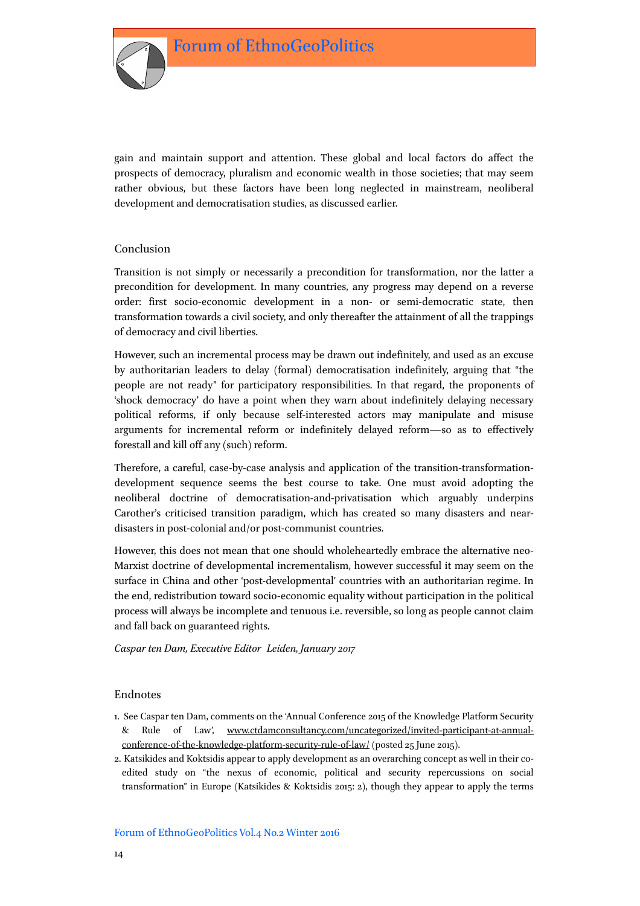

gain and maintain support and attention. These global and local factors do affect the prospects of democracy, pluralism and economic wealth in those societies; that may seem rather obvious, but these factors have been long neglected in mainstream, neoliberal development and democratisation studies, as discussed earlier.

## Conclusion

Transition is not simply or necessarily a precondition for transformation, nor the latter a precondition for development. In many countries, any progress may depend on a reverse order: first socio-economic development in a non- or semi-democratic state, then transformation towards a civil society, and only thereafter the attainment of all the trappings of democracy and civil liberties.

However, such an incremental process may be drawn out indefinitely, and used as an excuse by authoritarian leaders to delay (formal) democratisation indefinitely, arguing that "the people are not ready" for participatory responsibilities. In that regard, the proponents of 'shock democracy' do have a point when they warn about indefinitely delaying necessary political reforms, if only because self-interested actors may manipulate and misuse arguments for incremental reform or indefinitely delayed reform—so as to effectively forestall and kill off any (such) reform.

Therefore, a careful, case-by-case analysis and application of the transition-transformationdevelopment sequence seems the best course to take. One must avoid adopting the neoliberal doctrine of democratisation-and-privatisation which arguably underpins Carother's criticised transition paradigm, which has created so many disasters and neardisasters in post-colonial and/or post-communist countries.

However, this does not mean that one should wholeheartedly embrace the alternative neo-Marxist doctrine of developmental incrementalism, however successful it may seem on the surface in China and other 'post-developmental' countries with an authoritarian regime. In the end, redistribution toward socio-economic equality without participation in the political process will always be incomplete and tenuous i.e. reversible, so long as people cannot claim and fall back on guaranteed rights.

*Caspar ten Dam, Executive Editor Leiden, January 2017*

## Endnotes

- 1. See Caspar ten Dam, comments on the 'Annual Conference 2015 of the Knowledge Platform Security & Rule of Law', [www.ctdamconsultancy.com/uncategorized/invited-participant-at-annual](http://www.ctdamconsultancy.com/uncategorized/invited-participant-at-annual-conference-of-the-knowledge-platform-security-rule-of-law/)[conference-of-the-knowledge-platform-security-rule-of-law/](http://www.ctdamconsultancy.com/uncategorized/invited-participant-at-annual-conference-of-the-knowledge-platform-security-rule-of-law/) (posted 25 June 2015).
- 2. Katsikides and Koktsidis appear to apply development as an overarching concept as well in their coedited study on "the nexus of economic, political and security repercussions on social transformation" in Europe (Katsikides & Koktsidis 2015: 2), though they appear to apply the terms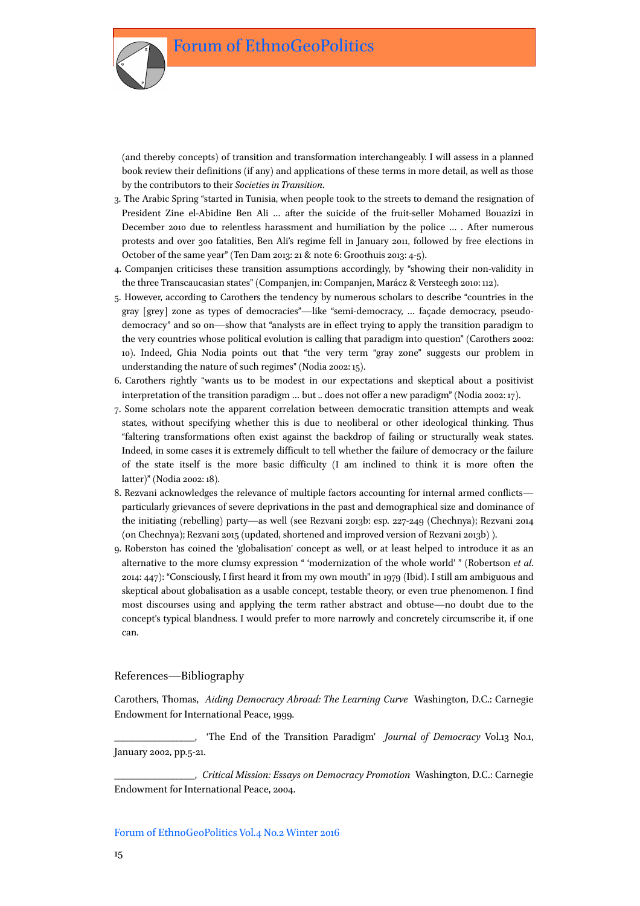(and thereby concepts) of transition and transformation interchangeably. I will assess in a planned book review their definitions (if any) and applications of these terms in more detail, as well as those by the contributors to their *Societies in Transition*.

- 3. The Arabic Spring "started in Tunisia, when people took to the streets to demand the resignation of President Zine el-Abidine Ben Ali … after the suicide of the fruit-seller Mohamed Bouazizi in December 2010 due to relentless harassment and humiliation by the police … . After numerous protests and over 300 fatalities, Ben Ali's regime fell in January 2011, followed by free elections in October of the same year" (Ten Dam 2013: 21 & note 6: Groothuis 2013: 4-5).
- 4. Companjen criticises these transition assumptions accordingly, by "showing their non-validity in the three Transcaucasian states" (Companjen, in: Companjen, Marácz & Versteegh 2010: 112).
- 5. However, according to Carothers the tendency by numerous scholars to describe "countries in the gray [grey] zone as types of democracies"—like "semi-democracy, … façade democracy, pseudodemocracy" and so on—show that "analysts are in effect trying to apply the transition paradigm to the very countries whose political evolution is calling that paradigm into question" (Carothers 2002: 10). Indeed, Ghia Nodia points out that "the very term "gray zone" suggests our problem in understanding the nature of such regimes" (Nodia 2002: 15).
- 6. Carothers rightly "wants us to be modest in our expectations and skeptical about a positivist interpretation of the transition paradigm … but .. does not offer a new paradigm" (Nodia 2002: 17).
- 7. Some scholars note the apparent correlation between democratic transition attempts and weak states, without specifying whether this is due to neoliberal or other ideological thinking. Thus "faltering transformations often exist against the backdrop of failing or structurally weak states. Indeed, in some cases it is extremely difficult to tell whether the failure of democracy or the failure of the state itself is the more basic difficulty (I am inclined to think it is more often the latter)" (Nodia 2002: 18).
- 8. Rezvani acknowledges the relevance of multiple factors accounting for internal armed conflicts particularly grievances of severe deprivations in the past and demographical size and dominance of the initiating (rebelling) party—as well (see Rezvani 2013b: esp. 227-249 (Chechnya); Rezvani 2014 (on Chechnya); Rezvani 2015 (updated, shortened and improved version of Rezvani 2013b) ).
- 9. Roberston has coined the 'globalisation' concept as well, or at least helped to introduce it as an alternative to the more clumsy expression " 'modernization of the whole world' " (Robertson *et al*. 2014: 447): "Consciously, I first heard it from my own mouth" in 1979 (Ibid). I still am ambiguous and skeptical about globalisation as a usable concept, testable theory, or even true phenomenon. I find most discourses using and applying the term rather abstract and obtuse—no doubt due to the concept's typical blandness. I would prefer to more narrowly and concretely circumscribe it, if one can.

### References—Bibliography

Carothers, Thomas, *Aiding Democracy Abroad: The Learning Curve* Washington, D.C.: Carnegie Endowment for International Peace, 1999.

\_\_\_\_\_\_\_\_\_\_\_\_\_\_\_\_\_\_, 'The End of the Transition Paradigm' *Journal of Democracy* Vol.13 No.1, January 2002, pp.5-21.

\_\_\_\_\_\_\_\_\_\_\_\_\_\_\_\_\_\_, *Critical Mission: Essays on Democracy Promotion* Washington, D.C.: Carnegie Endowment for International Peace, 2004.

#### Forum of EthnoGeoPolitics Vol.4 No.2 Winter 2016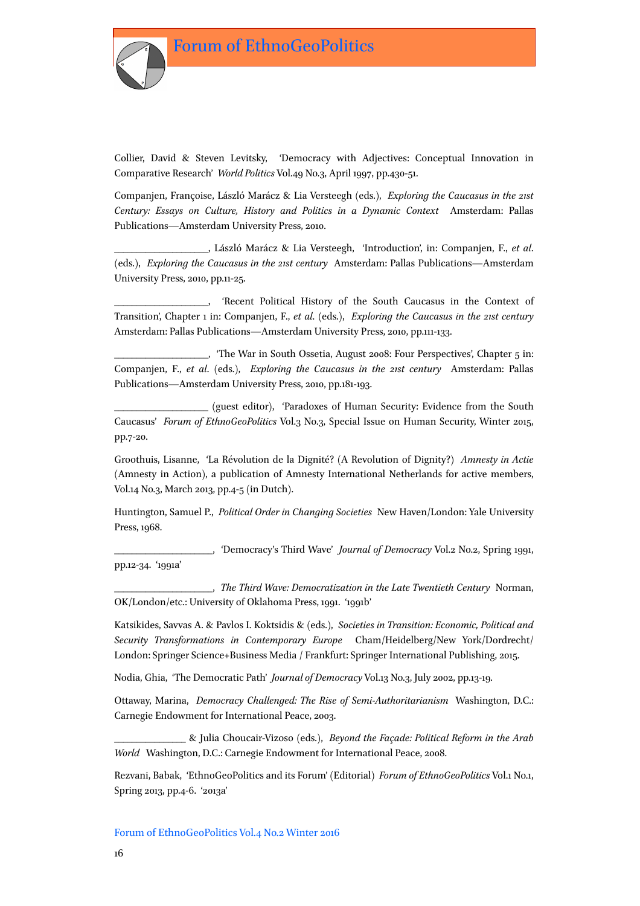

Collier, David & Steven Levitsky, 'Democracy with Adjectives: Conceptual Innovation in Comparative Research' *World Politics* Vol.49 No.3, April 1997, pp.430-51.

Companjen, Françoise, László Marácz & Lia Versteegh (eds.), *Exploring the Caucasus in the 21st Century: Essays on Culture, History and Politics in a Dynamic Context* Amsterdam: Pallas Publications*—*Amsterdam University Press, 2010.

\_\_\_\_\_\_\_\_\_\_\_\_\_\_\_\_\_\_\_\_\_, László Marácz & Lia Versteegh, 'Introduction', in: Companjen, F., *et al*. (eds.), *Exploring the Caucasus in the 21st century* Amsterdam: Pallas Publications*—*Amsterdam University Press, 2010, pp.11-25.

\_\_\_\_\_\_\_\_\_\_\_\_\_\_\_\_\_\_\_\_\_, 'Recent Political History of the South Caucasus in the Context of Transition', Chapter 1 in: Companjen, F., *et al*. (eds.), *Exploring the Caucasus in the 21st century* Amsterdam: Pallas Publications*—*Amsterdam University Press, 2010, pp.111-133.

\_\_\_\_\_\_\_\_\_\_\_\_\_\_\_\_\_\_\_\_\_, 'The War in South Ossetia, August 2008: Four Perspectives', Chapter 5 in: Companjen, F., *et al*. (eds.), *Exploring the Caucasus in the 21st century* Amsterdam: Pallas Publications*—*Amsterdam University Press, 2010, pp.181-193.

(guest editor), 'Paradoxes of Human Security: Evidence from the South Caucasus' *Forum of EthnoGeoPolitics* Vol.3 No.3, Special Issue on Human Security, Winter 2015, pp.7-20.

Groothuis, Lisanne, 'La Révolution de la Dignité? (A Revolution of Dignity?) *Amnesty in Actie* (Amnesty in Action), a publication of Amnesty International Netherlands for active members, Vol.14 No.3, March 2013, pp.4-5 (in Dutch).

Huntington, Samuel P., *Political Order in Changing Societies* New Haven/London: Yale University Press, 1968.

\_\_\_\_\_\_\_\_\_\_\_\_\_\_\_\_\_\_\_\_\_\_, 'Democracy's Third Wave' *Journal of Democracy* Vol.2 No.2, Spring 1991, pp.12-34. '1991a'

\_\_\_\_\_\_\_\_\_\_\_\_\_\_\_\_\_\_\_\_\_\_, *The Third Wave: Democratization in the Late Twentieth Century* Norman, OK/London/etc.: University of Oklahoma Press, 1991. '1991b'

Katsikides, Savvas A. & Pavlos I. Koktsidis & (eds.), *Societies in Transition: Economic, Political and Security Transformations in Contemporary Europe* Cham/Heidelberg/New York/Dordrecht/ London: Springer Science+Business Media / Frankfurt: Springer International Publishing, 2015.

Nodia, Ghia, 'The Democratic Path' *Journal of Democracy* Vol.13 No.3, July 2002, pp.13-19.

Ottaway, Marina, *Democracy Challenged: The Rise of Semi-Authoritarianism* Washington, D.C.: Carnegie Endowment for International Peace, 2003.

\_\_\_\_\_\_\_\_\_\_\_\_\_\_\_\_ & Julia Choucair-Vizoso (eds.), *Beyond the Façade: Political Reform in the Arab World* Washington, D.C.: Carnegie Endowment for International Peace, 2008.

Rezvani, Babak, 'EthnoGeoPolitics and its Forum' (Editorial) *Forum of EthnoGeoPolitics* Vol.1 No.1, Spring 2013, pp.4-6. '2013a'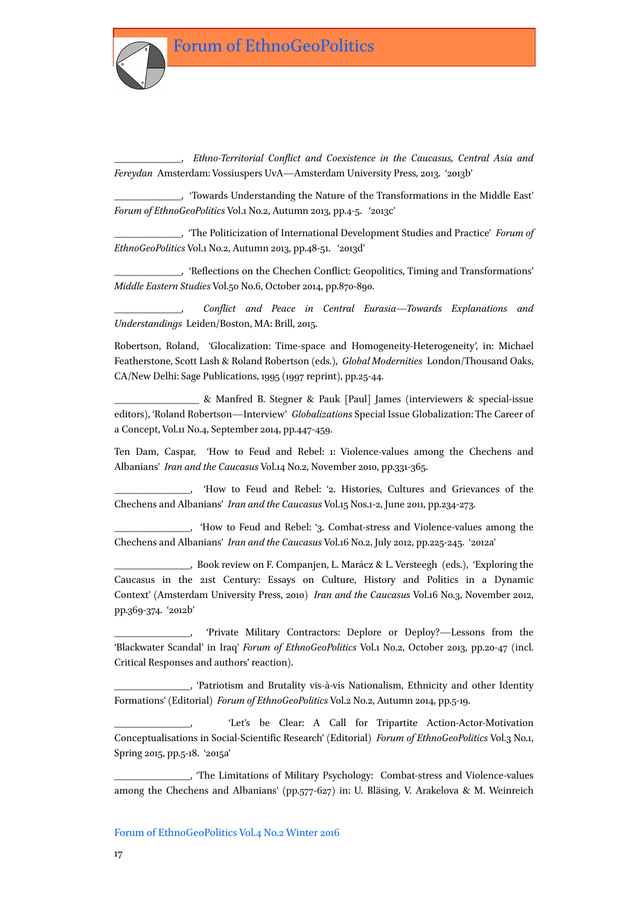\_\_\_\_\_\_\_\_\_\_\_\_\_\_\_, *Ethno-Territorial Conflict and Coexistence in the Caucasus, Central Asia and Fereydan* Amsterdam: Vossiuspers UvA*—*Amsterdam University Press, 2013. '2013b'

\_\_\_\_\_\_\_\_\_\_\_\_\_\_\_, 'Towards Understanding the Nature of the Transformations in the Middle East' *Forum of EthnoGeoPolitics* Vol.1 No.2, Autumn 2013, pp.4-5. '2013c'

\_\_\_\_\_\_\_\_\_\_\_\_\_\_\_, 'The Politicization of International Development Studies and Practice' *Forum of EthnoGeoPolitics* Vol.1 No.2, Autumn 2013, pp.48-51. '2013d'

\_\_\_\_\_\_\_\_\_\_\_\_\_\_\_, 'Reflections on the Chechen Conflict: Geopolitics, Timing and Transformations' *Middle Eastern Studies* Vol.50 No.6, October 2014, pp.870-890.

\_\_\_\_\_\_\_\_\_\_\_\_\_\_\_, *Conflict and Peace in Central Eurasia—Towards Explanations and Understandings* Leiden/Boston, MA: Brill, 2015.

Robertson, Roland, 'Glocalization: Time-space and Homogeneity-Heterogeneity', in: Michael Featherstone, Scott Lash & Roland Robertson (eds.), *Global Modernities* London/Thousand Oaks, CA/New Delhi: Sage Publications, 1995 (1997 reprint), pp.25-44.

\_\_\_\_\_\_\_\_\_\_\_\_\_\_\_\_\_\_\_ & Manfred B. Stegner & Pauk [Paul] James (interviewers & special-issue editors), 'Roland Robertson—Interview' *Globalizations* Special Issue Globalization: The Career of a Concept, Vol.11 No.4, September 2014, pp.447-459.

Ten Dam, Caspar, 'How to Feud and Rebel: 1: Violence-values among the Chechens and Albanians' *Iran and the Caucasus* Vol.14 No.2, November 2010, pp.331-365.

\_\_\_\_\_\_\_\_\_\_\_\_\_\_\_\_\_, 'How to Feud and Rebel: '2. Histories, Cultures and Grievances of the Chechens and Albanians' *Iran and the Caucasus* Vol.15 Nos.1-2, June 2011, pp.234-273.

\_\_\_\_\_\_\_\_\_\_\_\_\_\_\_\_\_, 'How to Feud and Rebel: '3. Combat-stress and Violence-values among the Chechens and Albanians' *Iran and the Caucasus* Vol.16 No.2, July 2012, pp.225-245. '2012a'

\_\_\_\_\_\_\_\_\_\_\_\_\_\_\_\_\_, Book review on F. Companjen, L. Marácz & L. Versteegh (eds.), 'Exploring the Caucasus in the 21st Century: Essays on Culture, History and Politics in a Dynamic Context' (Amsterdam University Press, 2010) *Iran and the Caucasus* Vol.16 No.3, November 2012, pp.369-374. '2012b'

'Private Military Contractors: Deplore or Deploy?—Lessons from the 'Blackwater Scandal' in Iraq' *Forum of EthnoGeoPolitics* Vol.1 No.2, October 2013, pp.20-47 (incl. Critical Responses and authors' reaction).

\_\_\_\_\_\_\_\_\_\_\_\_\_\_\_\_\_, 'Patriotism and Brutality vis-à-vis Nationalism, Ethnicity and other Identity Formations' (Editorial) *Forum of EthnoGeoPolitics* Vol.2 No.2, Autumn 2014, pp.5-19.

'Let's be Clear: A Call for Tripartite Action-Actor-Motivation Conceptualisations in Social-Scientific Research' (Editorial) *Forum of EthnoGeoPolitics* Vol.3 No.1, Spring 2015, pp.5-18. '2015a'

\_\_\_\_\_\_\_\_\_\_\_\_\_\_\_\_\_, 'The Limitations of Military Psychology: Combat-stress and Violence-values among the Chechens and Albanians' (pp.577-627) in: U. Bläsing, V. Arakelova & M. Weinreich